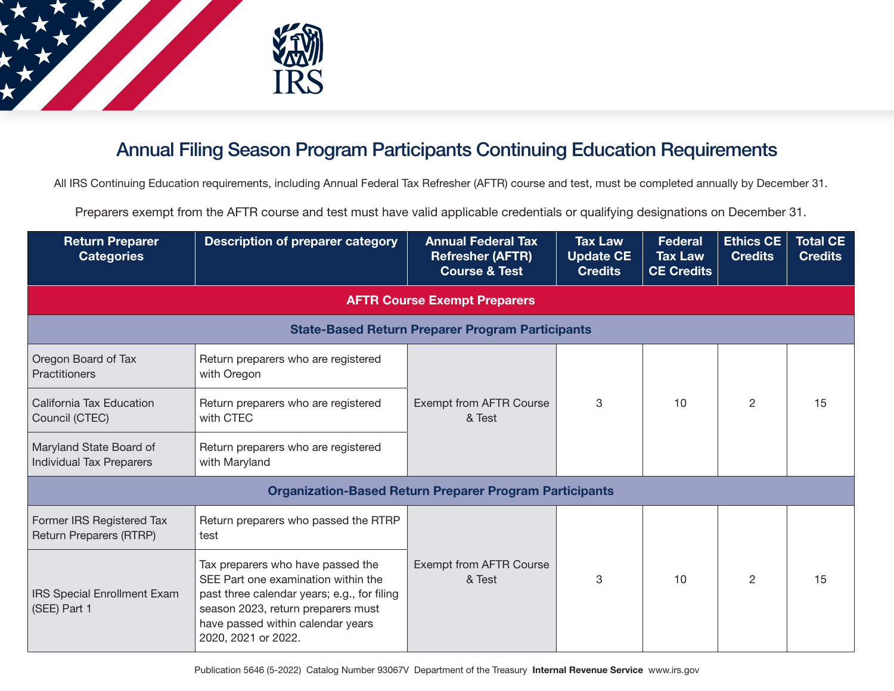

## Annual Filing Season Program Participants Continuing Education Requirements

All IRS Continuing Education requirements, including Annual Federal Tax Refresher (AFTR) course and test, must be completed annually by December 31.

Preparers exempt from the AFTR course and test must have valid applicable credentials or qualifying designations on December 31.

| <b>Return Preparer</b><br><b>Categories</b>                    | <b>Description of preparer category</b>                                                                                                                                                                                   | <b>Annual Federal Tax</b><br><b>Refresher (AFTR)</b><br><b>Course &amp; Test</b> | <b>Tax Law</b><br><b>Update CE</b><br><b>Credits</b> | <b>Federal</b><br><b>Tax Law</b><br><b>CE Credits</b> | Ethics CE<br><b>Credits</b> | <b>Total CE</b><br><b>Credits</b> |  |  |
|----------------------------------------------------------------|---------------------------------------------------------------------------------------------------------------------------------------------------------------------------------------------------------------------------|----------------------------------------------------------------------------------|------------------------------------------------------|-------------------------------------------------------|-----------------------------|-----------------------------------|--|--|
| <b>AFTR Course Exempt Preparers</b>                            |                                                                                                                                                                                                                           |                                                                                  |                                                      |                                                       |                             |                                   |  |  |
| <b>State-Based Return Preparer Program Participants</b>        |                                                                                                                                                                                                                           |                                                                                  |                                                      |                                                       |                             |                                   |  |  |
| Oregon Board of Tax<br>Practitioners                           | Return preparers who are registered<br>with Oregon                                                                                                                                                                        |                                                                                  |                                                      |                                                       |                             |                                   |  |  |
| California Tax Education<br>Council (CTEC)                     | Return preparers who are registered<br>with CTEC                                                                                                                                                                          | <b>Exempt from AFTR Course</b><br>& Test                                         | 3                                                    | 10                                                    | $\overline{2}$              | 15                                |  |  |
| Maryland State Board of<br><b>Individual Tax Preparers</b>     | Return preparers who are registered<br>with Maryland                                                                                                                                                                      |                                                                                  |                                                      |                                                       |                             |                                   |  |  |
| <b>Organization-Based Return Preparer Program Participants</b> |                                                                                                                                                                                                                           |                                                                                  |                                                      |                                                       |                             |                                   |  |  |
| Former IRS Registered Tax<br>Return Preparers (RTRP)           | Return preparers who passed the RTRP<br>test                                                                                                                                                                              |                                                                                  |                                                      |                                                       |                             |                                   |  |  |
| <b>IRS Special Enrollment Exam</b><br>(SEE) Part 1             | Tax preparers who have passed the<br>SEE Part one examination within the<br>past three calendar years; e.g., for filing<br>season 2023, return preparers must<br>have passed within calendar years<br>2020, 2021 or 2022. | <b>Exempt from AFTR Course</b><br>& Test                                         | 3                                                    | 10                                                    | 2                           | 15                                |  |  |